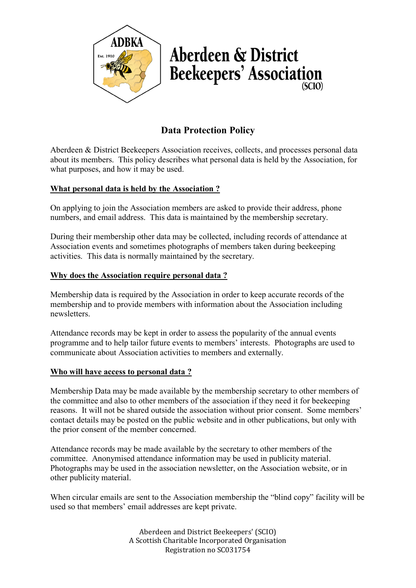

# **Data Protection Policy**

Aberdeen & District

**Beekeepers' Association** 

Aberdeen & District Beekeepers Association receives, collects, and processes personal data about its members. This policy describes what personal data is held by the Association, for what purposes, and how it may be used.

## **What personal data is held by the Association ?**

On applying to join the Association members are asked to provide their address, phone numbers, and email address. This data is maintained by the membership secretary.

During their membership other data may be collected, including records of attendance at Association events and sometimes photographs of members taken during beekeeping activities. This data is normally maintained by the secretary.

#### **Why does the Association require personal data ?**

Membership data is required by the Association in order to keep accurate records of the membership and to provide members with information about the Association including newsletters.

Attendance records may be kept in order to assess the popularity of the annual events programme and to help tailor future events to members' interests. Photographs are used to communicate about Association activities to members and externally.

#### **Who will have access to personal data ?**

Membership Data may be made available by the membership secretary to other members of the committee and also to other members of the association if they need it for beekeeping reasons. It will not be shared outside the association without prior consent. Some members' contact details may be posted on the public website and in other publications, but only with the prior consent of the member concerned.

Attendance records may be made available by the secretary to other members of the committee. Anonymised attendance information may be used in publicity material. Photographs may be used in the association newsletter, on the Association website, or in other publicity material.

When circular emails are sent to the Association membership the "blind copy" facility will be used so that members' email addresses are kept private.

> Aberdeen and District Beekeepers' (SCIO) A Scottish Charitable Incorporated Organisation Registration no SC031754